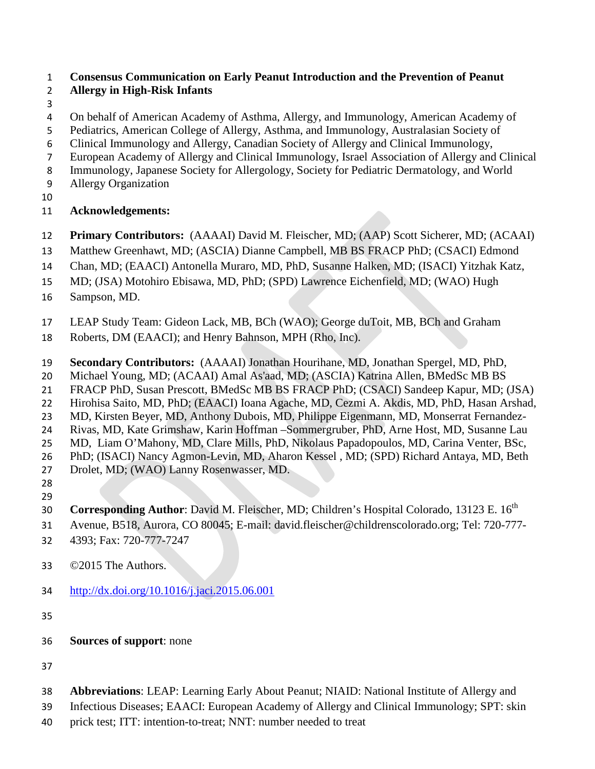# **Consensus Communication on Early Peanut Introduction and the Prevention of Peanut**

# **Allergy in High-Risk Infants**

- 
- On behalf of American Academy of Asthma, Allergy, and Immunology, American Academy of
- Pediatrics, American College of Allergy, Asthma, and Immunology, Australasian Society of
- Clinical Immunology and Allergy, Canadian Society of Allergy and Clinical Immunology,
- European Academy of Allergy and Clinical Immunology, Israel Association of Allergy and Clinical
- Immunology, Japanese Society for Allergology, Society for Pediatric Dermatology, and World
- Allergy Organization
- 

# **Acknowledgements:**

- **Primary Contributors:** (AAAAI) David M. Fleischer, MD; (AAP) Scott Sicherer, MD; (ACAAI)
- Matthew Greenhawt, MD; (ASCIA) Dianne Campbell, MB BS FRACP PhD; (CSACI) Edmond
- Chan, MD; (EAACI) Antonella Muraro, MD, PhD, Susanne Halken, MD; (ISACI) Yitzhak Katz,
- MD; (JSA) Motohiro Ebisawa, MD, PhD; (SPD) Lawrence Eichenfield, MD; (WAO) Hugh
- Sampson, MD.
- LEAP Study Team: Gideon Lack, MB, BCh (WAO); George duToit, MB, BCh and Graham
- Roberts, DM (EAACI); and Henry Bahnson, MPH (Rho, Inc).
- **Secondary Contributors:** (AAAAI) Jonathan Hourihane, MD, Jonathan Spergel, MD, PhD,
- Michael Young, MD; (ACAAI) Amal As'aad, MD; (ASCIA) Katrina Allen, BMedSc MB BS
- FRACP PhD, Susan Prescott, BMedSc MB BS FRACP PhD; (CSACI) Sandeep Kapur, MD; (JSA)
- Hirohisa Saito, MD, PhD; (EAACI) Ioana Agache, MD, Cezmi A. Akdis, MD, PhD, Hasan Arshad,
- MD, Kirsten Beyer, MD, Anthony Dubois, MD, Philippe Eigenmann, MD, Monserrat Fernandez-
- Rivas, MD, Kate Grimshaw, Karin Hoffman –Sommergruber, PhD, Arne Host, MD, Susanne Lau
- MD, Liam O'Mahony, MD, Clare Mills, PhD, Nikolaus Papadopoulos, MD, Carina Venter, BSc,
- PhD; (ISACI) Nancy Agmon-Levin, MD, Aharon Kessel , MD; (SPD) Richard Antaya, MD, Beth
- Drolet, MD; (WAO) Lanny Rosenwasser, MD.
- 
- **Corresponding Author:** David M. Fleischer, MD; Children's Hospital Colorado, 13123 E. 16<sup>th</sup>
- Avenue, B518, Aurora, CO 80045; E-mail: david.fleischer@childrenscolorado.org; Tel: 720-777-
- 4393; Fax: 720-777-7247
- ©2015 The Authors.
- <http://dx.doi.org/10.1016/j.jaci.2015.06.001>
- 
- **Sources of support**: none
- 
- **Abbreviations**: LEAP: Learning Early About Peanut; NIAID: National Institute of Allergy and
- Infectious Diseases; EAACI: European Academy of Allergy and Clinical Immunology; SPT: skin
- prick test; ITT: intention-to-treat; NNT: number needed to treat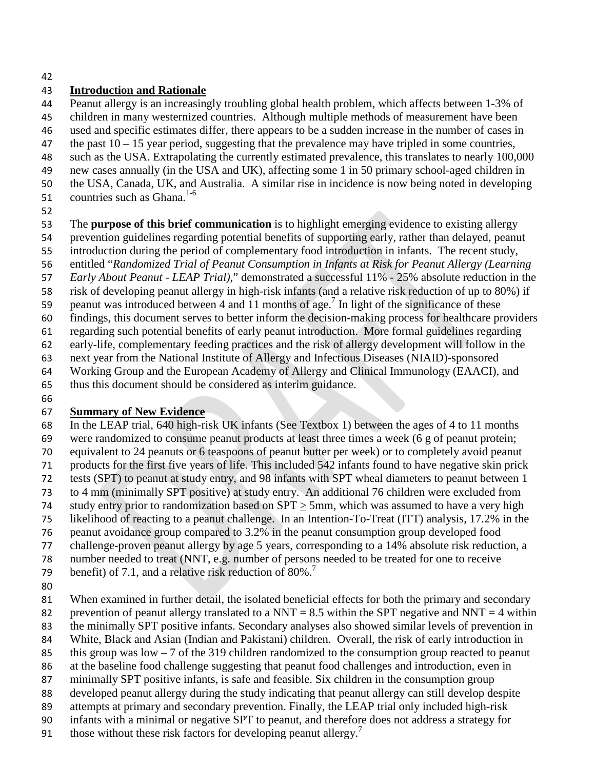#### 

## **Introduction and Rationale**

Peanut allergy is an increasingly troubling global health problem, which affects between 1-3% of

children in many westernized countries. Although multiple methods of measurement have been

used and specific estimates differ, there appears to be a sudden increase in the number of cases in

- 47 the past  $10 15$  year period, suggesting that the prevalence may have tripled in some countries,
- such as the USA. Extrapolating the currently estimated prevalence, this translates to nearly 100,000 new cases annually (in the USA and UK), affecting some 1 in 50 primary school-aged children in
- the USA, Canada, UK, and Australia. A similar rise in incidence is now being noted in developing
- 51 countries such as Ghana. $1-6$
- 

The **purpose of this brief communication** is to highlight emerging evidence to existing allergy

- prevention guidelines regarding potential benefits of supporting early, rather than delayed, peanut
- introduction during the period of complementary food introduction in infants. The recent study,
- entitled "*Randomized Trial of Peanut Consumption in Infants at Risk for Peanut Allergy (Learning*
- *Early About Peanut - LEAP Trial)*," demonstrated a successful 11% 25% absolute reduction in the
- risk of developing peanut allergy in high-risk infants (and a relative risk reduction of up to 80%) if
- 59 peanut was introduced between 4 and 11 months of age.<sup>7</sup> In light of the significance of these
- findings, this document serves to better inform the decision-making process for healthcare providers
- regarding such potential benefits of early peanut introduction. More formal guidelines regarding

early-life, complementary feeding practices and the risk of allergy development will follow in the

- next year from the National Institute of Allergy and Infectious Diseases (NIAID)-sponsored
- Working Group and the European Academy of Allergy and Clinical Immunology (EAACI), and
- thus this document should be considered as interim guidance.
- 

# **Summary of New Evidence**

 In the LEAP trial, 640 high-risk UK infants (See Textbox 1) between the ages of 4 to 11 months were randomized to consume peanut products at least three times a week (6 g of peanut protein;

- equivalent to 24 peanuts or 6 teaspoons of peanut butter per week) or to completely avoid peanut products for the first five years of life. This included 542 infants found to have negative skin prick
- tests (SPT) to peanut at study entry, and 98 infants with SPT wheal diameters to peanut between 1
- to 4 mm (minimally SPT positive) at study entry. An additional 76 children were excluded from
- study entry prior to randomization based on SPT > 5mm, which was assumed to have a very high
- likelihood of reacting to a peanut challenge. In an Intention-To-Treat (ITT) analysis, 17.2% in the
- peanut avoidance group compared to 3.2% in the peanut consumption group developed food
- challenge-proven peanut allergy by age 5 years, corresponding to a 14% absolute risk reduction, a
- number needed to treat (NNT, e.g. number of persons needed to be treated for one to receive
- 79 benefit) of 7.1, and a relative risk reduction of  $80\%$ .<sup>7</sup>
- 
- When examined in further detail, the isolated beneficial effects for both the primary and secondary
- 82 prevention of peanut allergy translated to a NNT = 8.5 within the SPT negative and NNT = 4 within
- the minimally SPT positive infants. Secondary analyses also showed similar levels of prevention in
- White, Black and Asian (Indian and Pakistani) children. Overall, the risk of early introduction in
- 85 this group was low  $-7$  of the 319 children randomized to the consumption group reacted to peanut
- at the baseline food challenge suggesting that peanut food challenges and introduction, even in
- minimally SPT positive infants, is safe and feasible. Six children in the consumption group
- developed peanut allergy during the study indicating that peanut allergy can still develop despite
- attempts at primary and secondary prevention. Finally, the LEAP trial only included high-risk
- infants with a minimal or negative SPT to peanut, and therefore does not address a strategy for
- 91 those without these risk factors for developing peanut allergy.<sup>7</sup>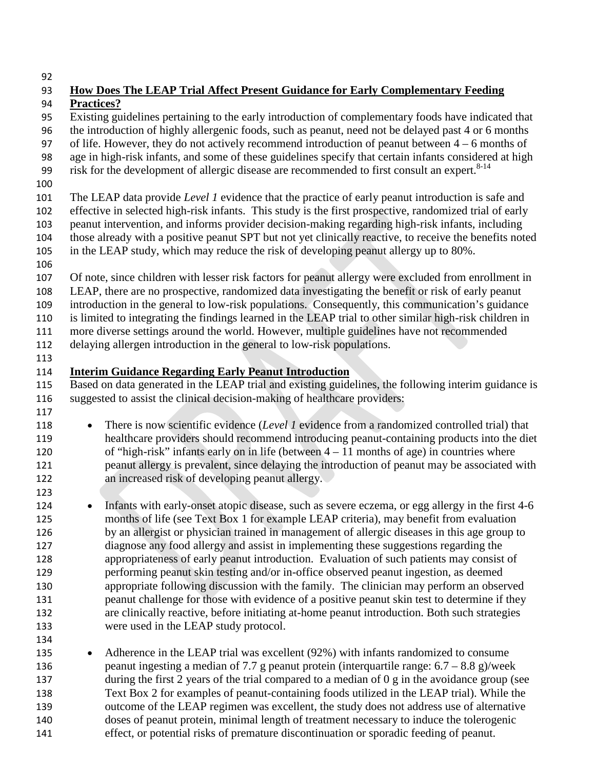| 93         | How Does The LEAP Trial Affect Present Guidance for Early Complementary Feeding                                                                                                                       |
|------------|-------------------------------------------------------------------------------------------------------------------------------------------------------------------------------------------------------|
| 94         | <b>Practices?</b>                                                                                                                                                                                     |
| 95         | Existing guidelines pertaining to the early introduction of complementary foods have indicated that                                                                                                   |
| 96         | the introduction of highly allergenic foods, such as peanut, need not be delayed past 4 or 6 months                                                                                                   |
| 97         | of life. However, they do not actively recommend introduction of peanut between $4 - 6$ months of                                                                                                     |
| 98         | age in high-risk infants, and some of these guidelines specify that certain infants considered at high                                                                                                |
| 99         | risk for the development of allergic disease are recommended to first consult an expert. <sup>8-14</sup>                                                                                              |
| 100        |                                                                                                                                                                                                       |
| 101        | The LEAP data provide Level 1 evidence that the practice of early peanut introduction is safe and                                                                                                     |
| 102        | effective in selected high-risk infants. This study is the first prospective, randomized trial of early                                                                                               |
| 103        | peanut intervention, and informs provider decision-making regarding high-risk infants, including                                                                                                      |
| 104        | those already with a positive peanut SPT but not yet clinically reactive, to receive the benefits noted                                                                                               |
| 105        | in the LEAP study, which may reduce the risk of developing peanut allergy up to 80%.                                                                                                                  |
| 106        |                                                                                                                                                                                                       |
| 107        | Of note, since children with lesser risk factors for peanut allergy were excluded from enrollment in                                                                                                  |
| 108<br>109 | LEAP, there are no prospective, randomized data investigating the benefit or risk of early peanut<br>introduction in the general to low-risk populations. Consequently, this communication's guidance |
| 110        | is limited to integrating the findings learned in the LEAP trial to other similar high-risk children in                                                                                               |
| 111        | more diverse settings around the world. However, multiple guidelines have not recommended                                                                                                             |
| 112        | delaying allergen introduction in the general to low-risk populations.                                                                                                                                |
| 113        |                                                                                                                                                                                                       |
| 114        | <b>Interim Guidance Regarding Early Peanut Introduction</b>                                                                                                                                           |
| 115        | Based on data generated in the LEAP trial and existing guidelines, the following interim guidance is                                                                                                  |
| 116        | suggested to assist the clinical decision-making of healthcare providers:                                                                                                                             |
| 117        |                                                                                                                                                                                                       |
| 118        | There is now scientific evidence (Level 1 evidence from a randomized controlled trial) that<br>$\bullet$                                                                                              |
| 119        | healthcare providers should recommend introducing peanut-containing products into the diet                                                                                                            |
| 120        | of "high-risk" infants early on in life (between $4 - 11$ months of age) in countries where                                                                                                           |
| 121        | peanut allergy is prevalent, since delaying the introduction of peanut may be associated with                                                                                                         |
| 122        | an increased risk of developing peanut allergy.                                                                                                                                                       |
| 123        |                                                                                                                                                                                                       |
| 124        | Infants with early-onset atopic disease, such as severe eczema, or egg allergy in the first 4-6<br>$\bullet$                                                                                          |
| 125        | months of life (see Text Box 1 for example LEAP criteria), may benefit from evaluation                                                                                                                |
| 126        | by an allergist or physician trained in management of allergic diseases in this age group to                                                                                                          |
| 127        | diagnose any food allergy and assist in implementing these suggestions regarding the                                                                                                                  |
| 128        | appropriateness of early peanut introduction. Evaluation of such patients may consist of                                                                                                              |
| 129        | performing peanut skin testing and/or in-office observed peanut ingestion, as deemed                                                                                                                  |
| 130        | appropriate following discussion with the family. The clinician may perform an observed                                                                                                               |
| 131        | peanut challenge for those with evidence of a positive peanut skin test to determine if they                                                                                                          |
| 132        | are clinically reactive, before initiating at-home peanut introduction. Both such strategies                                                                                                          |
| 133        | were used in the LEAP study protocol.                                                                                                                                                                 |
| 134        |                                                                                                                                                                                                       |
| 135        | Adherence in the LEAP trial was excellent (92%) with infants randomized to consume<br>$\bullet$                                                                                                       |
| 136<br>137 | peanut ingesting a median of 7.7 g peanut protein (interquartile range: $6.7 - 8.8$ g)/week<br>during the first 2 years of the trial compared to a median of 0 g in the avoidance group (see          |
| 138        | Text Box 2 for examples of peanut-containing foods utilized in the LEAP trial). While the                                                                                                             |
| 139        | outcome of the LEAP regimen was excellent, the study does not address use of alternative                                                                                                              |
| 140        | doses of peanut protein, minimal length of treatment necessary to induce the tolerogenic                                                                                                              |
| 141        | effect, or potential risks of premature discontinuation or sporadic feeding of peanut.                                                                                                                |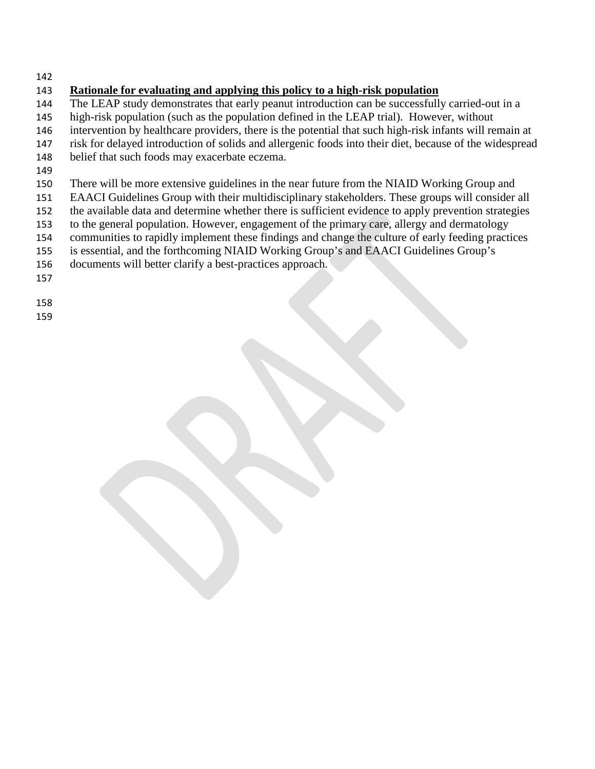## **Rationale for evaluating and applying this policy to a high-risk population**

- The LEAP study demonstrates that early peanut introduction can be successfully carried-out in a
- high-risk population (such as the population defined in the LEAP trial). However, without
- intervention by healthcare providers, there is the potential that such high-risk infants will remain at
- risk for delayed introduction of solids and allergenic foods into their diet, because of the widespread
- belief that such foods may exacerbate eczema.
- 
- There will be more extensive guidelines in the near future from the NIAID Working Group and
- EAACI Guidelines Group with their multidisciplinary stakeholders. These groups will consider all
- the available data and determine whether there is sufficient evidence to apply prevention strategies
- to the general population. However, engagement of the primary care, allergy and dermatology
- communities to rapidly implement these findings and change the culture of early feeding practices
- is essential, and the forthcoming NIAID Working Group's and EAACI Guidelines Group's
- documents will better clarify a best-practices approach.
- 
- 
-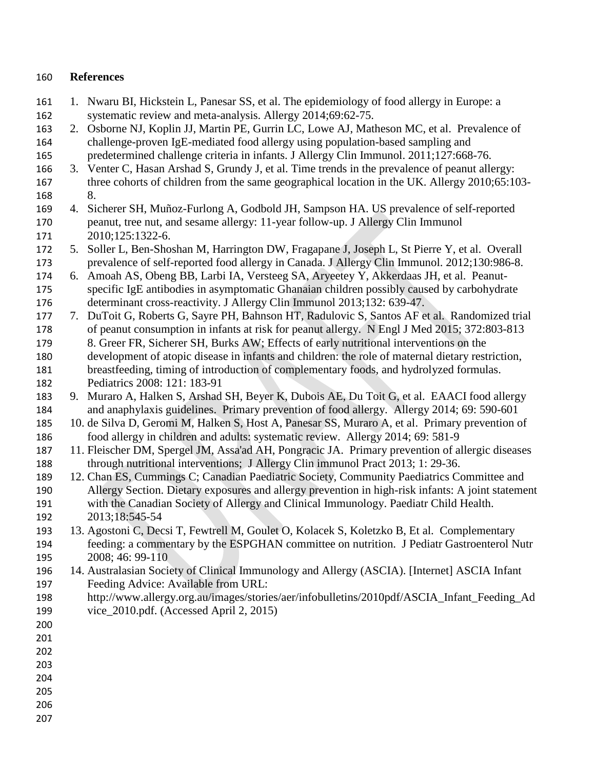#### **References**

- 1. Nwaru BI, Hickstein L, Panesar SS, et al. The epidemiology of food allergy in Europe: a systematic review and meta-analysis. Allergy 2014;69:62-75.
- 2. Osborne NJ, Koplin JJ, Martin PE, Gurrin LC, Lowe AJ, Matheson MC, et al. [Prevalence of](http://www.ncbi.nlm.nih.gov/pubmed/21377036)  [challenge-proven IgE-mediated food allergy using population-based sampling and](http://www.ncbi.nlm.nih.gov/pubmed/21377036)
- [predetermined challenge criteria in infants.](http://www.ncbi.nlm.nih.gov/pubmed/21377036) J Allergy Clin Immunol. 2011;127:668-76.
- 3. Venter C, Hasan Arshad S, Grundy J, et al. Time trends in the prevalence of peanut allergy: 167 three cohorts of children from the same geographical location in the UK. Allergy 2010;65:103-8.
- 4. Sicherer SH, Muñoz-Furlong A, Godbold JH, Sampson HA. US prevalence of self-reported peanut, tree nut, and sesame allergy: 11-year follow-up. J Allergy Clin Immunol 2010;125:1322-6.
- 5. Soller L, Ben-Shoshan M, Harrington DW, Fragapane J, Joseph L, St Pierre Y, et al. [Overall](http://www.ncbi.nlm.nih.gov/pubmed/22867693)  [prevalence of self-reported food allergy in Canada.](http://www.ncbi.nlm.nih.gov/pubmed/22867693) J Allergy Clin Immunol. 2012;130:986-8.
- 6. Amoah AS, Obeng BB, Larbi IA, Versteeg SA, Aryeetey Y, Akkerdaas JH, et al. [Peanut-](http://www.ncbi.nlm.nih.gov/pubmed/23763976)[specific IgE antibodies in asymptomatic Ghanaian children possibly caused by carbohydrate](http://www.ncbi.nlm.nih.gov/pubmed/23763976)
- [determinant cross-reactivity.](http://www.ncbi.nlm.nih.gov/pubmed/23763976) J Allergy Clin Immunol 2013;132: 639-47.
- 7. DuToit G, Roberts G, Sayre PH, Bahnson HT, Radulovic S, Santos AF et al. Randomized trial of peanut consumption in infants at risk for peanut allergy. N Engl J Med 2015; 372:803-813 8. [Greer FR,](http://www.ncbi.nlm.nih.gov/pubmed/?term=Greer%20FR%5BAuthor%5D&cauthor=true&cauthor_uid=18166574) [Sicherer SH,](http://www.ncbi.nlm.nih.gov/pubmed/?term=Sicherer%20SH%5BAuthor%5D&cauthor=true&cauthor_uid=18166574) [Burks AW;](http://www.ncbi.nlm.nih.gov/pubmed/?term=Burks%20AW%5BAuthor%5D&cauthor=true&cauthor_uid=18166574) Effects of early nutritional interventions on the
- development of atopic disease in infants and children: the role of maternal dietary restriction, breastfeeding, timing of introduction of complementary foods, and hydrolyzed formulas. Pediatrics 2008: 121: 183-91
- 9. Muraro A, Halken S, Arshad SH, Beyer K, Dubois AE, Du Toit G, et al. EAACI food allergy and anaphylaxis guidelines. Primary prevention of food allergy. Allergy 2014; 69: 590-601
- 10. de Silva D, Geromi M, Halken S, Host A, Panesar SS, Muraro A, et al. Primary prevention of food allergy in children and adults: systematic review. Allergy 2014; 69: 581-9
- 11. Fleischer DM, Spergel JM, Assa'ad AH, Pongracic JA. Primary prevention of allergic diseases through nutritional interventions; J Allergy Clin immunol Pract 2013; 1: 29-36.
- 12. Chan ES, Cummings C; Canadian Paediatric Society, Community Paediatrics Committee and Allergy Section. Dietary exposures and allergy prevention in high-risk infants: A joint statement with the Canadian Society of Allergy and Clinical Immunology. Paediatr Child Health. 2013;18:545-54
- 13. Agostoni C, Decsi T, Fewtrell M, Goulet O, Kolacek S, Koletzko B, Et al. Complementary feeding: a commentary by the ESPGHAN committee on nutrition. J Pediatr Gastroenterol Nutr 2008; 46: 99-110
- 14. Australasian Society of Clinical Immunology and Allergy (ASCIA). [Internet] ASCIA Infant Feeding Advice: Available from URL:
- [http://www.allergy.org.au/images/stories/aer/infobulletins/2010pdf/ASCIA\\_Infant\\_Feeding\\_Ad](http://www.allergy.org.au/images/stories/aer/infobulletins/2010pdf/ASCIA_Infant_Feeding_Advice_2010.pdf) [vice\\_2010.pdf.](http://www.allergy.org.au/images/stories/aer/infobulletins/2010pdf/ASCIA_Infant_Feeding_Advice_2010.pdf) (Accessed April 2, 2015)
- 
- 
- 
- 
- 
- 
-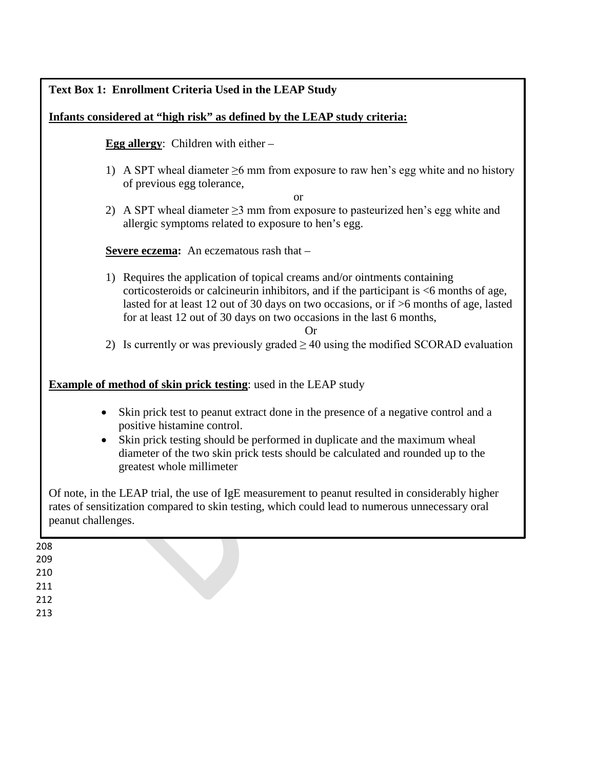## **Text Box 1: Enrollment Criteria Used in the LEAP Study**

#### **Infants considered at "high risk" as defined by the LEAP study criteria:**

**Egg allergy**: Children with either –

1) A SPT wheal diameter  $\geq 6$  mm from exposure to raw hen's egg white and no history of previous egg tolerance,

or

2) A SPT wheal diameter  $\geq$ 3 mm from exposure to pasteurized hen's egg white and allergic symptoms related to exposure to hen's egg.

**Severe eczema:** An eczematous rash that –

1) Requires the application of topical creams and/or ointments containing corticosteroids or calcineurin inhibitors, and if the participant is <6 months of age, lasted for at least 12 out of 30 days on two occasions, or if >6 months of age, lasted for at least 12 out of 30 days on two occasions in the last 6 months,

Or

2) Is currently or was previously graded  $\geq$  40 using the modified SCORAD evaluation

#### **Example of method of skin prick testing**: used in the LEAP study

- Skin prick test to peanut extract done in the presence of a negative control and a positive histamine control.
- Skin prick testing should be performed in duplicate and the maximum wheal diameter of the two skin prick tests should be calculated and rounded up to the greatest whole millimeter

Of note, in the LEAP trial, the use of IgE measurement to peanut resulted in considerably higher rates of sensitization compared to skin testing, which could lead to numerous unnecessary oral peanut challenges.

208 209 210 211 212

213